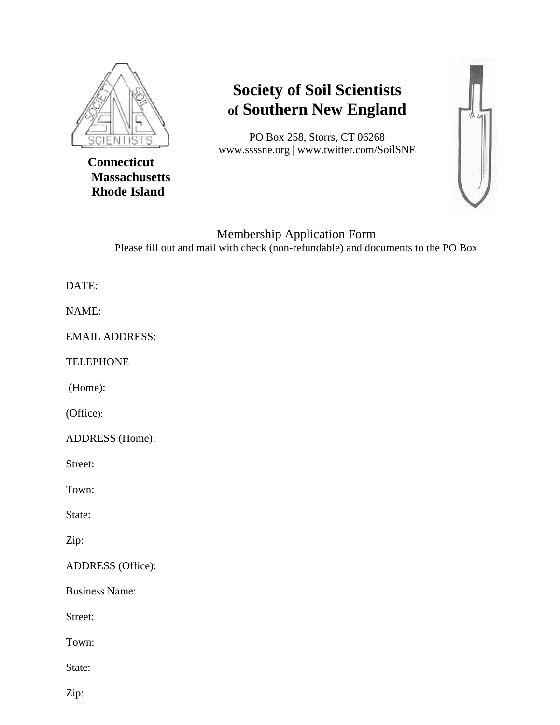

 **Connecticut Massachusetts Rhode Island**

## **Society of Soil Scientists of Southern New England**

PO Box 258, Storrs, CT 06268 www.ssssne.org | www.twitter.com/SoilSNE



Membership Application Form Please fill out and mail with check (non-refundable) and documents to the PO Box

## DATE:

NAME:

EMAIL ADDRESS:

TELEPHONE

(Home):

(Office):

ADDRESS (Home):

Street:

Town:

State:

Zip:

ADDRESS (Office):

Business Name:

Street:

Town:

State:

Zip: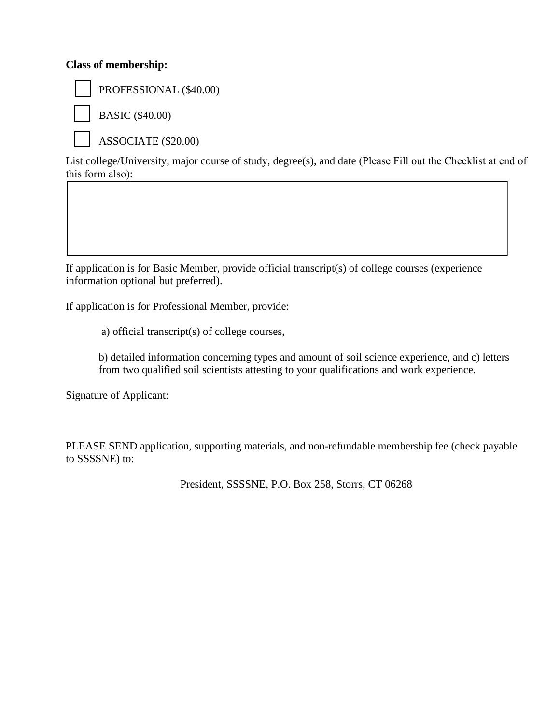## **Class of membership:**



PROFESSIONAL (\$40.00)

BASIC (\$40.00)

ASSOCIATE (\$20.00)

List college/University, major course of study, degree(s), and date (Please Fill out the Checklist at end of this form also):

If application is for Basic Member, provide official transcript(s) of college courses (experience information optional but preferred).

If application is for Professional Member, provide:

a) official transcript(s) of college courses,

b) detailed information concerning types and amount of soil science experience, and c) letters from two qualified soil scientists attesting to your qualifications and work experience.

Signature of Applicant:

PLEASE SEND application, supporting materials, and non-refundable membership fee (check payable to SSSSNE) to:

President, SSSSNE, P.O. Box 258, Storrs, CT 06268